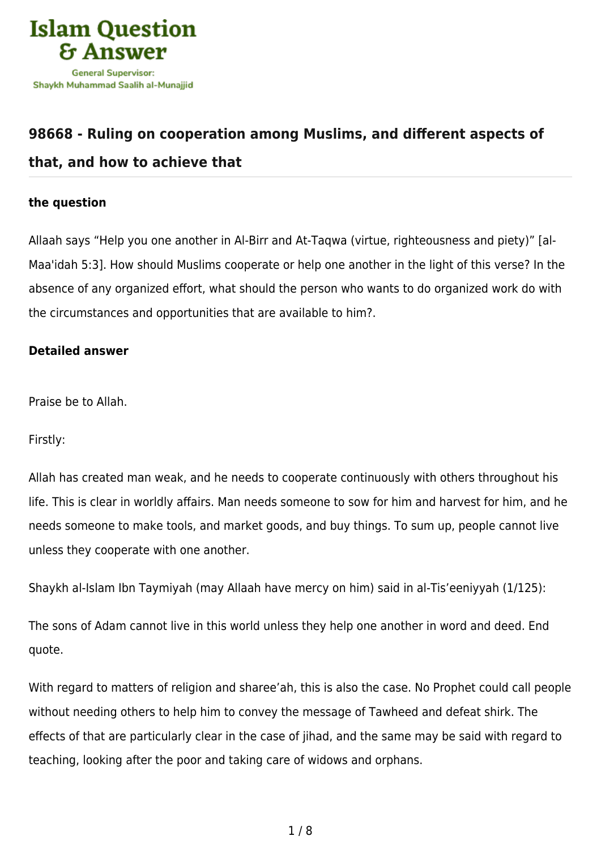

# **[98668 - Ruling on cooperation among Muslims, and different aspects of](https://islamqa.info/en/answers/98668/ruling-on-cooperation-among-muslims-and-different-aspects-of-that-and-how-to-achieve-that) [that, and how to achieve that](https://islamqa.info/en/answers/98668/ruling-on-cooperation-among-muslims-and-different-aspects-of-that-and-how-to-achieve-that)**

## **the question**

Allaah says "Help you one another in Al‑Birr and At‑Taqwa (virtue, righteousness and piety)" [al-Maa'idah 5:3]. How should Muslims cooperate or help one another in the light of this verse? In the absence of any organized effort, what should the person who wants to do organized work do with the circumstances and opportunities that are available to him?.

### **Detailed answer**

Praise be to Allah.

Firstly:

Allah has created man weak, and he needs to cooperate continuously with others throughout his life. This is clear in worldly affairs. Man needs someone to sow for him and harvest for him, and he needs someone to make tools, and market goods, and buy things. To sum up, people cannot live unless they cooperate with one another.

Shaykh al-Islam Ibn Taymiyah (may Allaah have mercy on him) said in al-Tis'eeniyyah (1/125):

The sons of Adam cannot live in this world unless they help one another in word and deed. End quote.

With regard to matters of religion and sharee'ah, this is also the case. No Prophet could call people without needing others to help him to convey the message of Tawheed and defeat shirk. The effects of that are particularly clear in the case of jihad, and the same may be said with regard to teaching, looking after the poor and taking care of widows and orphans.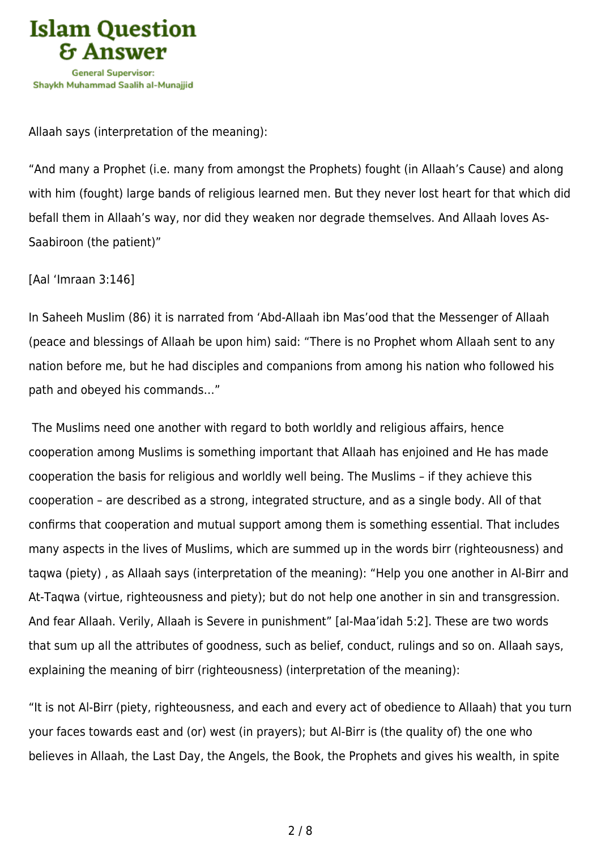

Allaah says (interpretation of the meaning):

"And many a Prophet (i.e. many from amongst the Prophets) fought (in Allaah's Cause) and along with him (fought) large bands of religious learned men. But they never lost heart for that which did befall them in Allaah's way, nor did they weaken nor degrade themselves. And Allaah loves As-Saabiroon (the patient)"

[Aal 'Imraan 3:146]

In Saheeh Muslim (86) it is narrated from 'Abd-Allaah ibn Mas'ood that the Messenger of Allaah (peace and blessings of Allaah be upon him) said: "There is no Prophet whom Allaah sent to any nation before me, but he had disciples and companions from among his nation who followed his path and obeyed his commands…"

 The Muslims need one another with regard to both worldly and religious affairs, hence cooperation among Muslims is something important that Allaah has enjoined and He has made cooperation the basis for religious and worldly well being. The Muslims – if they achieve this cooperation – are described as a strong, integrated structure, and as a single body. All of that confirms that cooperation and mutual support among them is something essential. That includes many aspects in the lives of Muslims, which are summed up in the words birr (righteousness) and taqwa (piety) , as Allaah says (interpretation of the meaning): "Help you one another in Al‑Birr and At‑Taqwa (virtue, righteousness and piety); but do not help one another in sin and transgression. And fear Allaah. Verily, Allaah is Severe in punishment" [al-Maa'idah 5:2]. These are two words that sum up all the attributes of goodness, such as belief, conduct, rulings and so on. Allaah says, explaining the meaning of birr (righteousness) (interpretation of the meaning):

"It is not Al-Birr (piety, righteousness, and each and every act of obedience to Allaah) that you turn your faces towards east and (or) west (in prayers); but Al-Birr is (the quality of) the one who believes in Allaah, the Last Day, the Angels, the Book, the Prophets and gives his wealth, in spite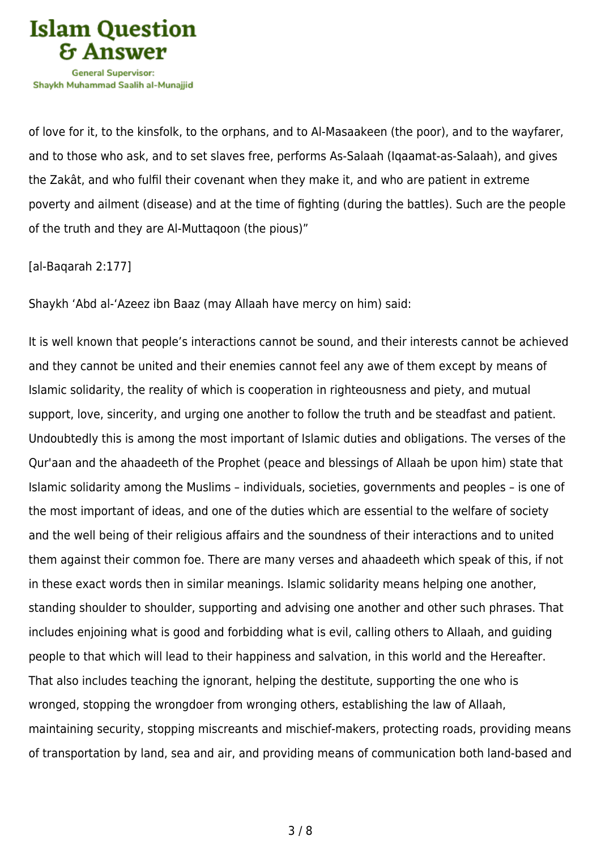

of love for it, to the kinsfolk, to the orphans, and to Al-Masaakeen (the poor), and to the wayfarer, and to those who ask, and to set slaves free, performs As-Salaah (Iqaamat-as-Salaah), and gives the Zakât, and who fulfil their covenant when they make it, and who are patient in extreme poverty and ailment (disease) and at the time of fighting (during the battles). Such are the people of the truth and they are Al‑Muttaqoon (the pious)"

[al-Baqarah 2:177]

Shaykh 'Abd al-'Azeez ibn Baaz (may Allaah have mercy on him) said:

It is well known that people's interactions cannot be sound, and their interests cannot be achieved and they cannot be united and their enemies cannot feel any awe of them except by means of Islamic solidarity, the reality of which is cooperation in righteousness and piety, and mutual support, love, sincerity, and urging one another to follow the truth and be steadfast and patient. Undoubtedly this is among the most important of Islamic duties and obligations. The verses of the Qur'aan and the ahaadeeth of the Prophet (peace and blessings of Allaah be upon him) state that Islamic solidarity among the Muslims – individuals, societies, governments and peoples – is one of the most important of ideas, and one of the duties which are essential to the welfare of society and the well being of their religious affairs and the soundness of their interactions and to united them against their common foe. There are many verses and ahaadeeth which speak of this, if not in these exact words then in similar meanings. Islamic solidarity means helping one another, standing shoulder to shoulder, supporting and advising one another and other such phrases. That includes enjoining what is good and forbidding what is evil, calling others to Allaah, and guiding people to that which will lead to their happiness and salvation, in this world and the Hereafter. That also includes teaching the ignorant, helping the destitute, supporting the one who is wronged, stopping the wrongdoer from wronging others, establishing the law of Allaah, maintaining security, stopping miscreants and mischief-makers, protecting roads, providing means of transportation by land, sea and air, and providing means of communication both land-based and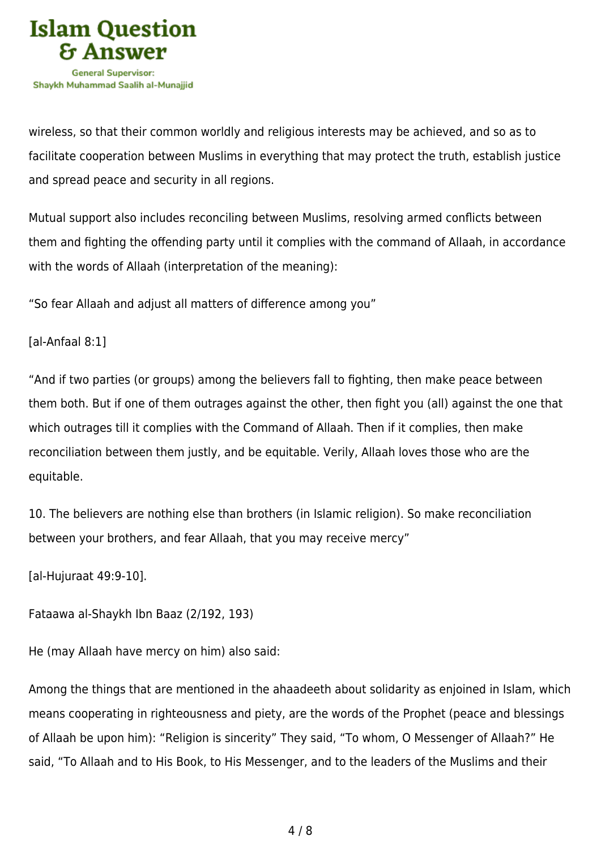

wireless, so that their common worldly and religious interests may be achieved, and so as to facilitate cooperation between Muslims in everything that may protect the truth, establish justice and spread peace and security in all regions.

Mutual support also includes reconciling between Muslims, resolving armed conflicts between them and fighting the offending party until it complies with the command of Allaah, in accordance with the words of Allaah (interpretation of the meaning):

"So fear Allaah and adjust all matters of difference among you"

### [al-Anfaal 8:1]

"And if two parties (or groups) among the believers fall to fighting, then make peace between them both. But if one of them outrages against the other, then fight you (all) against the one that which outrages till it complies with the Command of Allaah. Then if it complies, then make reconciliation between them justly, and be equitable. Verily, Allaah loves those who are the equitable.

10. The believers are nothing else than brothers (in Islamic religion). So make reconciliation between your brothers, and fear Allaah, that you may receive mercy"

[al-Hujuraat 49:9-10].

Fataawa al-Shaykh Ibn Baaz (2/192, 193)

He (may Allaah have mercy on him) also said:

Among the things that are mentioned in the ahaadeeth about solidarity as enjoined in Islam, which means cooperating in righteousness and piety, are the words of the Prophet (peace and blessings of Allaah be upon him): "Religion is sincerity" They said, "To whom, O Messenger of Allaah?" He said, "To Allaah and to His Book, to His Messenger, and to the leaders of the Muslims and their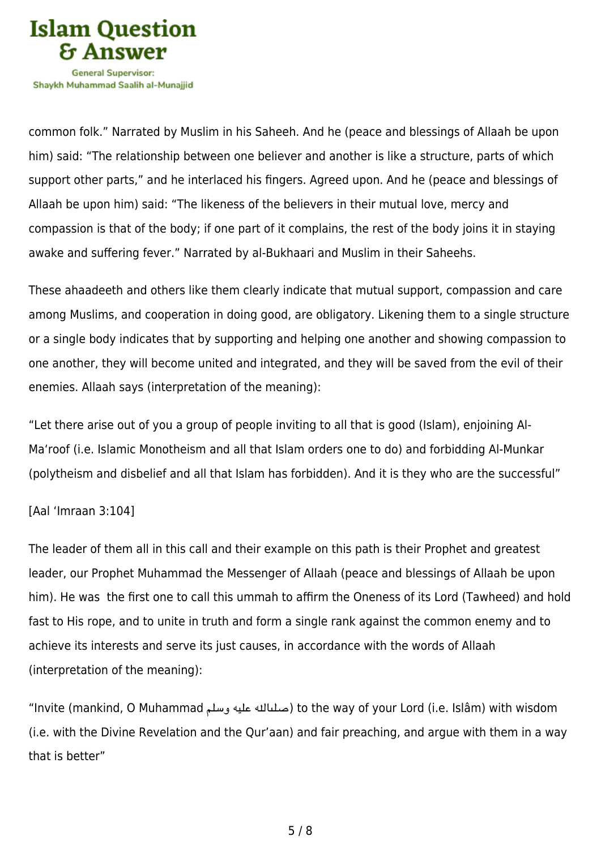

Shavkh Muhammad Saalih al-Munaiiid

common folk." Narrated by Muslim in his Saheeh. And he (peace and blessings of Allaah be upon him) said: "The relationship between one believer and another is like a structure, parts of which support other parts," and he interlaced his fingers. Agreed upon. And he (peace and blessings of Allaah be upon him) said: "The likeness of the believers in their mutual love, mercy and compassion is that of the body; if one part of it complains, the rest of the body joins it in staying awake and suffering fever." Narrated by al-Bukhaari and Muslim in their Saheehs.

These ahaadeeth and others like them clearly indicate that mutual support, compassion and care among Muslims, and cooperation in doing good, are obligatory. Likening them to a single structure or a single body indicates that by supporting and helping one another and showing compassion to one another, they will become united and integrated, and they will be saved from the evil of their enemies. Allaah says (interpretation of the meaning):

"Let there arise out of you a group of people inviting to all that is good (Islam), enjoining Al-Ma'roof (i.e. Islamic Monotheism and all that Islam orders one to do) and forbidding Al-Munkar (polytheism and disbelief and all that Islam has forbidden). And it is they who are the successful"

#### [Aal 'Imraan 3:104]

The leader of them all in this call and their example on this path is their Prophet and greatest leader, our Prophet Muhammad the Messenger of Allaah (peace and blessings of Allaah be upon him). He was the first one to call this ummah to affirm the Oneness of its Lord (Tawheed) and hold fast to His rope, and to unite in truth and form a single rank against the common enemy and to achieve its interests and serve its just causes, in accordance with the words of Allaah (interpretation of the meaning):

"Invite (mankind, O Muhammad صلىالله عليه وسلم) to the way of your Lord (i.e. Islâm) with wisdom (i.e. with the Divine Revelation and the Qur'aan) and fair preaching, and argue with them in a way that is better"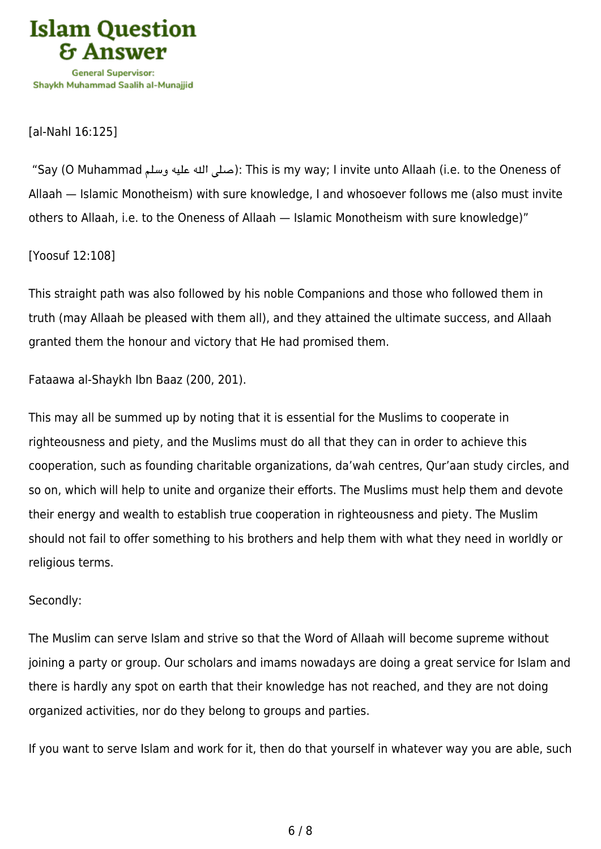

[al-Nahl 16:125]

"Say (O Muhammad صلى الله عليه وسلم): This is my way; I invite unto Allaah (i.e. to the Oneness of Allaah — Islamic Monotheism) with sure knowledge, I and whosoever follows me (also must invite others to Allaah, i.e. to the Oneness of Allaah — Islamic Monotheism with sure knowledge)"

[Yoosuf 12:108]

This straight path was also followed by his noble Companions and those who followed them in truth (may Allaah be pleased with them all), and they attained the ultimate success, and Allaah granted them the honour and victory that He had promised them.

Fataawa al-Shaykh Ibn Baaz (200, 201).

This may all be summed up by noting that it is essential for the Muslims to cooperate in righteousness and piety, and the Muslims must do all that they can in order to achieve this cooperation, such as founding charitable organizations, da'wah centres, Qur'aan study circles, and so on, which will help to unite and organize their efforts. The Muslims must help them and devote their energy and wealth to establish true cooperation in righteousness and piety. The Muslim should not fail to offer something to his brothers and help them with what they need in worldly or religious terms.

### Secondly:

The Muslim can serve Islam and strive so that the Word of Allaah will become supreme without joining a party or group. Our scholars and imams nowadays are doing a great service for Islam and there is hardly any spot on earth that their knowledge has not reached, and they are not doing organized activities, nor do they belong to groups and parties.

If you want to serve Islam and work for it, then do that yourself in whatever way you are able, such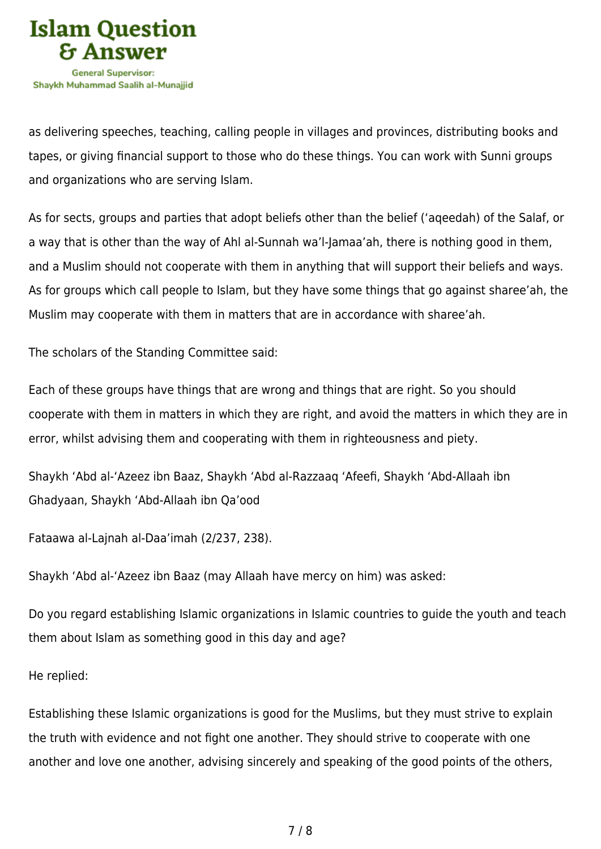

as delivering speeches, teaching, calling people in villages and provinces, distributing books and tapes, or giving financial support to those who do these things. You can work with Sunni groups and organizations who are serving Islam.

As for sects, groups and parties that adopt beliefs other than the belief ('aqeedah) of the Salaf, or a way that is other than the way of Ahl al-Sunnah wa'l-Jamaa'ah, there is nothing good in them, and a Muslim should not cooperate with them in anything that will support their beliefs and ways. As for groups which call people to Islam, but they have some things that go against sharee'ah, the Muslim may cooperate with them in matters that are in accordance with sharee'ah.

The scholars of the Standing Committee said:

Each of these groups have things that are wrong and things that are right. So you should cooperate with them in matters in which they are right, and avoid the matters in which they are in error, whilst advising them and cooperating with them in righteousness and piety.

Shaykh 'Abd al-'Azeez ibn Baaz, Shaykh 'Abd al-Razzaaq 'Afeefi, Shaykh 'Abd-Allaah ibn Ghadyaan, Shaykh 'Abd-Allaah ibn Qa'ood

Fataawa al-Lajnah al-Daa'imah (2/237, 238).

Shaykh 'Abd al-'Azeez ibn Baaz (may Allaah have mercy on him) was asked:

Do you regard establishing Islamic organizations in Islamic countries to guide the youth and teach them about Islam as something good in this day and age?

He replied:

Establishing these Islamic organizations is good for the Muslims, but they must strive to explain the truth with evidence and not fight one another. They should strive to cooperate with one another and love one another, advising sincerely and speaking of the good points of the others,